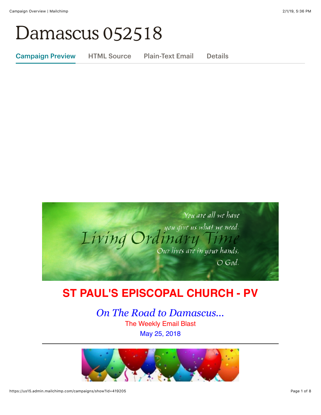# Damascus 052518

Campaign Preview HTML Source Plain-Text Email Details



# **ST PAUL'S EPISCOPAL CHURCH - PV**

*On The Road to Damascus...* The Weekly Email Blast May 25, 2018

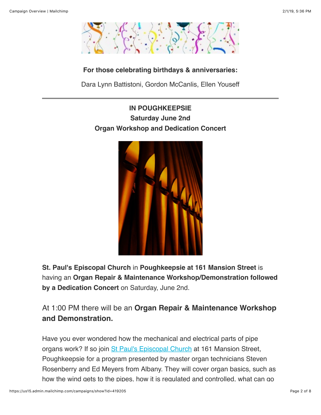

#### **For those celebrating birthdays & anniversaries:**

Dara Lynn Battistoni, Gordon McCanlis, Ellen Youseff

# **IN POUGHKEEPSIE Saturday June 2nd Organ Workshop and Dedication Concert**



**St. Paul's Episcopal Church** in **Poughkeepsie at 161 Mansion Street** is having an **Organ Repair & Maintenance Workshop/Demonstration followed by a Dedication Concert** on Saturday, June 2nd.

# At 1:00 PM there will be an **Organ Repair & Maintenance Workshop and Demonstration.**

Have you ever wondered how the mechanical and electrical parts of pipe organs work? If so join [St Paul's Episcopal Church](http://stpaulspoughkeepsie.org/) at 161 Mansion Street, Poughkeepsie for a program presented by master organ technicians Steven Rosenberry and Ed Meyers from Albany. They will cover organ basics, such as how the wind gets to the pipes, how it is regulated and controlled, what can go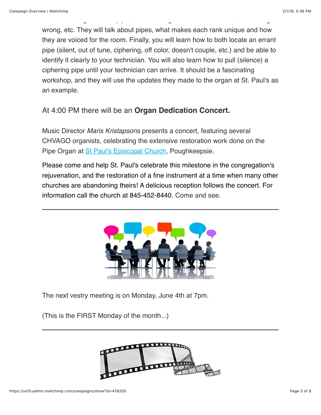wrong, etc. They will talk about pipes, what makes each rank unique and how they are voiced for the room. Finally, you will learn how to both locate an errant pipe (silent, out of tune, ciphering, off color, doesn't couple, etc.) and be able to identify it clearly to your technician. You will also learn how to pull (silence) a ciphering pipe until your technician can arrive. It should be a fascinating workshop, and they will use the updates they made to the organ at St. Paul's as an example.

how the wind gets to the pipes, how it is regulated and controlled, what can go

## At 4:00 PM there will be an **Organ Dedication Concert.**

Music Director *Maris Kristapsons* presents a concert, featuring several CHVAGO organists, celebrating the extensive restoration work done on the Pipe Organ at [St Paul's Episcopal Church,](http://stpaulspoughkeepsie.org/) Poughkeepsie.

Please come and help St. Paul's celebrate this milestone in the congregation's rejuvenation, and the restoration of a fine instrument at a time when many other churches are abandoning theirs! A delicious reception follows the concert. For information call the church at 845-452-8440. Come and see.



The next vestry meeting is on Monday, June 4th at 7pm.

(This is the FIRST Monday of the month...)

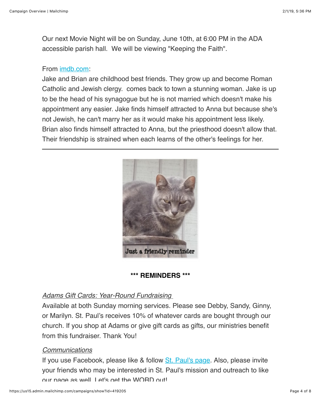Our next Movie Night will be on Sunday, June 10th, at 6:00 PM in the ADA accessible parish hall. We will be viewing "Keeping the Faith".

#### From [imdb.com](http://imdb.com/):

Jake and Brian are childhood best friends. They grow up and become Roman Catholic and Jewish clergy. comes back to town a stunning woman. Jake is up to be the head of his synagogue but he is not married which doesn't make his appointment any easier. Jake finds himself attracted to Anna but because she's not Jewish, he can't marry her as it would make his appointment less likely. Brian also finds himself attracted to Anna, but the priesthood doesn't allow that. Their friendship is strained when each learns of the other's feelings for her.



#### **\*\*\* REMINDERS \*\*\***

#### *Adams Gift Cards: Year-Round Fundraising*

Available at both Sunday morning services. Please see Debby, Sandy, Ginny, or Marilyn. St. Paul's receives 10% of whatever cards are bought through our church. If you shop at Adams or give gift cards as gifts, our ministries benefit from this fundraiser. Thank You!

#### *Communications*

If you use Facebook, please like & follow [St. Paul's page.](https://www.facebook.com/stpaulspleasantvalley/?ref=bookmarks) Also, please invite your friends who may be interested in St. Paul's mission and outreach to like our page as well. Let's get the WORD out!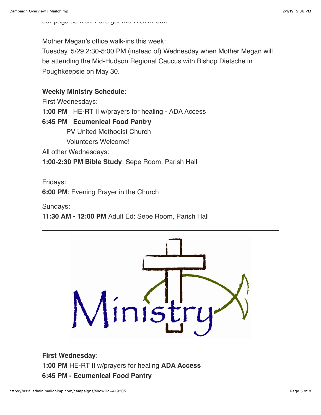our page as well. Let's get the WORD out!

Mother Megan's office walk-ins this week:

Tuesday, 5/29 2:30-5:00 PM (instead of) Wednesday when Mother Megan will be attending the Mid-Hudson Regional Caucus with Bishop Dietsche in Poughkeepsie on May 30.

#### **Weekly Ministry Schedule:**

First Wednesdays:

**1:00 PM** HE-RT II w/prayers for healing - ADA Access

#### **6:45 PM Ecumenical Food Pantry**

PV United Methodist Church

Volunteers Welcome!

All other Wednesdays:

**1:00-2:30 PM Bible Study**: Sepe Room, Parish Hall

Fridays:

**6:00 PM**: Evening Prayer in the Church

Sundays:

**11:30 AM - 12:00 PM** Adult Ed: Sepe Room, Parish Hall



**First Wednesday**: **1:00 PM** HE-RT II w/prayers for healing **ADA Access 6:45 PM - Ecumenical Food Pantry**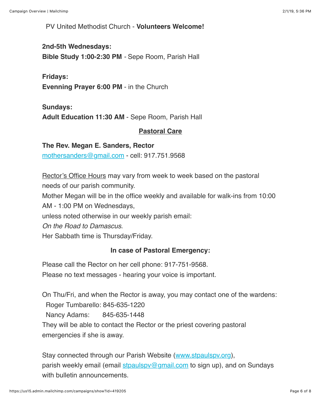PV United Methodist Church - **Volunteers Welcome!**

#### **2nd-5th Wednesdays:**

**Bible Study 1:00-2:30 PM** *-* Sepe Room, Parish Hall

#### **Fridays:**

**Evenning Prayer 6:00 PM** - in the Church

#### **Sundays:**

**Adult Education 11:30 AM** - Sepe Room, Parish Hall

#### **Pastoral Care**

#### **The Rev. Megan E. Sanders, Rector**

[mothersanders@gmail.com](mailto:mothersanders@gmail.com) - cell: 917.751.9568

Rector's Office Hours may vary from week to week based on the pastoral needs of our parish community.

Mother Megan will be in the office weekly and available for walk-ins from 10:00

AM - 1:00 PM on Wednesdays,

unless noted otherwise in our weekly parish email:

*On the Road to Damascus*.

Her Sabbath time is Thursday/Friday.

#### **In case of Pastoral Emergency:**

Please call the Rector on her cell phone: 917-751-9568.

Please no text messages - hearing your voice is important.

On Thu/Fri, and when the Rector is away, you may contact one of the wardens: Roger Tumbarello: 845-635-1220 Nancy Adams: 845-635-1448 They will be able to contact the Rector or the priest covering pastoral emergencies if she is away.

Stay connected through our Parish Website ([www.stpaulspv.org\)](http://www.stpaulspv.org/), parish weekly email (email stpaulspy@gmail.com to sign up), and on Sundays with bulletin announcements.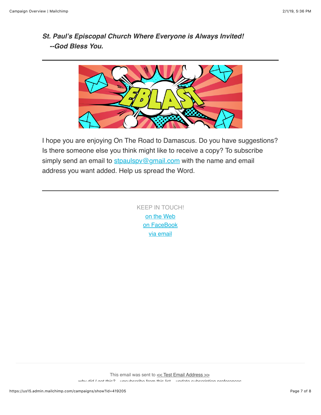## *St. Paul's Episcopal Church Where Everyone is Always Invited! --God Bless You.*



I hope you are enjoying On The Road to Damascus. Do you have suggestions? Is there someone else you think might like to receive a copy? To subscribe simply send an email to stpaulspy@gmail.com with the name and email address you want added. Help us spread the Word.

> KEEP IN TOUCH! [o](http://stpaulspv.org/)[n the Web](http://www.stpaulspv.org/) [on FaceBook](https://www.facebook.com/stpaulspleasantvalley/) [via email](mailto:stpaulspv@gmail)

This email was sent to  $\leq$  Test Email Address  $\gg$ *[why did I get this?](https://stpaulspv.us15.list-manage.com/about?u=3b25c5a57b31a98c4b91ce167&id=da84c8835f&e=%5BUNIQID%5D&c=3db528aafe)* [unsubscribe from this list](https://stpaulspv.us15.list-manage.com/unsubscribe?u=3b25c5a57b31a98c4b91ce167&id=da84c8835f&e=%5BUNIQID%5D&c=3db528aafe) [update subscription preferences](https://stpaulspv.us15.list-manage.com/profile?u=3b25c5a57b31a98c4b91ce167&id=da84c8835f&e=%5BUNIQID%5D)